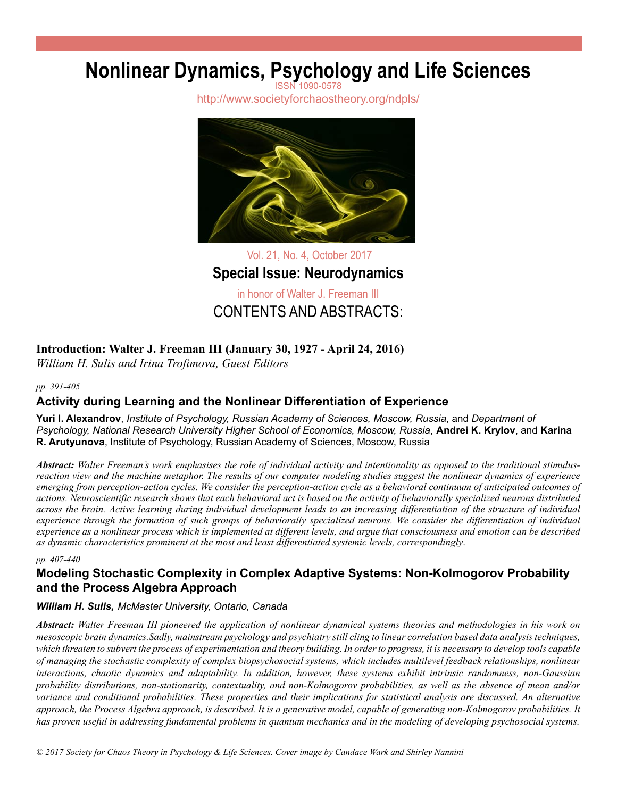# **Nonlinear Dynamics, Psychology and Life Sciences**

http://www.societyforchaostheory.org/ndpls/



Vol. 21, No. 4, October 2017 **Special Issue: Neurodynamics** in honor of Walter J. Freeman III CONTENTS AND ABSTRACTS:

# **Introduction: Walter J. Freeman III (January 30, 1927 - April 24, 2016)**

*William H. Sulis and Irina Trofimova, Guest Editors*

#### *pp. 391-405*

# **Activity during Learning and the Nonlinear Differentiation of Experience**

**Yuri I. Alexandrov**, *Institute of Psychology, Russian Academy of Sciences, Moscow, Russia*, and *Department of Psychology, National Research University Higher School of Economics, Moscow, Russia*, **Andrei K. Krylov**, and **Karina R. Arutyunova**, Institute of Psychology, Russian Academy of Sciences, Moscow, Russia

*Abstract: Walter Freeman's work emphasises the role of individual activity and intentionality as opposed to the traditional stimulusreaction view and the machine metaphor. The results of our computer modeling studies suggest the nonlinear dynamics of experience emerging from perception-action cycles. We consider the perception-action cycle as a behavioral continuum of anticipated outcomes of actions. Neuroscientific research shows that each behavioral act is based on the activity of behaviorally specialized neurons distributed across the brain. Active learning during individual development leads to an increasing differentiation of the structure of individual experience through the formation of such groups of behaviorally specialized neurons. We consider the differentiation of individual experience as a nonlinear process which is implemented at different levels, and argue that consciousness and emotion can be described as dynamic characteristics prominent at the most and least differentiated systemic levels, correspondingly*.

#### *pp. 407-440*

# **Modeling Stochastic Complexity in Complex Adaptive Systems: Non-Kolmogorov Probability and the Process Algebra Approach**

### *William H. Sulis, McMaster University, Ontario, Canada*

*Abstract: Walter Freeman III pioneered the application of nonlinear dynamical systems theories and methodologies in his work on mesoscopic brain dynamics.Sadly, mainstream psychology and psychiatry still cling to linear correlation based data analysis techniques, which threaten to subvert the process of experimentation and theory building. In order to progress, it is necessary to develop tools capable of managing the stochastic complexity of complex biopsychosocial systems, which includes multilevel feedback relationships, nonlinear interactions, chaotic dynamics and adaptability. In addition, however, these systems exhibit intrinsic randomness, non-Gaussian probability distributions, non-stationarity, contextuality, and non-Kolmogorov probabilities, as well as the absence of mean and/or variance and conditional probabilities. These properties and their implications for statistical analysis are discussed. An alternative approach, the Process Algebra approach, is described. It is a generative model, capable of generating non-Kolmogorov probabilities. It has proven useful in addressing fundamental problems in quantum mechanics and in the modeling of developing psychosocial systems.*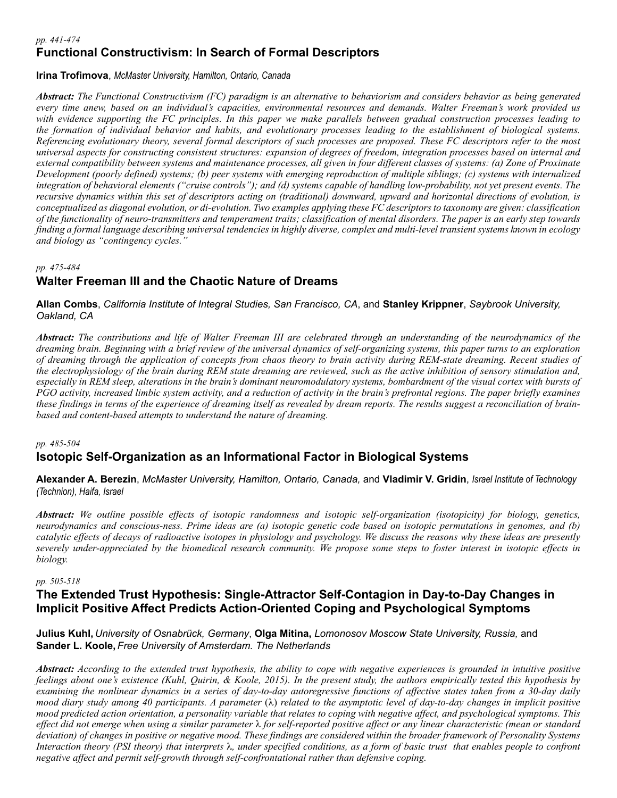#### *pp. 441-474* **Functional Constructivism: In Search of Formal Descriptors**

### **Irina Trofimova**, *McMaster University, Hamilton, Ontario, Canada*

*Abstract: The Functional Constructivism (FC) paradigm is an alternative to behaviorism and considers behavior as being generated every time anew, based on an individual's capacities, environmental resources and demands. Walter Freeman's work provided us with evidence supporting the FC principles. In this paper we make parallels between gradual construction processes leading to the formation of individual behavior and habits, and evolutionary processes leading to the establishment of biological systems. Referencing evolutionary theory, several formal descriptors of such processes are proposed. These FC descriptors refer to the most universal aspects for constructing consistent structures: expansion of degrees of freedom, integration processes based on internal and external compatibility between systems and maintenance processes, all given in four different classes of systems: (a) Zone of Proximate Development (poorly defined) systems; (b) peer systems with emerging reproduction of multiple siblings; (c) systems with internalized integration of behavioral elements ("cruise controls"); and (d) systems capable of handling low-probability, not yet present events. The recursive dynamics within this set of descriptors acting on (traditional) downward, upward and horizontal directions of evolution, is conceptualized as diagonal evolution, or di-evolution. Two examples applying these FC descriptors to taxonomy are given: classification of the functionality of neuro-transmitters and temperament traits; classification of mental disorders. The paper is an early step towards finding a formal language describing universal tendencies in highly diverse, complex and multi-level transient systems known in ecology and biology as "contingency cycles."*

#### *pp. 475-484*

# **Walter Freeman III and the Chaotic Nature of Dreams**

**Allan Combs**, *California Institute of Integral Studies, San Francisco, CA*, and **Stanley Krippner**, *Saybrook University, Oakland, CA*

*Abstract: The contributions and life of Walter Freeman III are celebrated through an understanding of the neurodynamics of the dreaming brain. Beginning with a brief review of the universal dynamics of self-organizing systems, this paper turns to an exploration of dreaming through the application of concepts from chaos theory to brain activity during REM-state dreaming. Recent studies of the electrophysiology of the brain during REM state dreaming are reviewed, such as the active inhibition of sensory stimulation and, especially in REM sleep, alterations in the brain's dominant neuromodulatory systems, bombardment of the visual cortex with bursts of PGO activity, increased limbic system activity, and a reduction of activity in the brain's prefrontal regions. The paper briefly examines these findings in terms of the experience of dreaming itself as revealed by dream reports. The results suggest a reconciliation of brainbased and content-based attempts to understand the nature of dreaming.* 

#### *pp. 485-504*

# **Isotopic Self-Organization as an Informational Factor in Biological Systems**

**Alexander A. Berezin**, *McMaster University, Hamilton, Ontario, Canada,* and **Vladimir V. Gridin**, *Israel Institute of Technology (Technion), Haifa, Israel* 

*Abstract: We outline possible effects of isotopic randomness and isotopic self-organization (isotopicity) for biology, genetics, neurodynamics and conscious-ness. Prime ideas are (a) isotopic genetic code based on isotopic permutations in genomes, and (b) catalytic effects of decays of radioactive isotopes in physiology and psychology. We discuss the reasons why these ideas are presently severely under-appreciated by the biomedical research community. We propose some steps to foster interest in isotopic effects in biology.*

#### *pp. 505-518*

## **The Extended Trust Hypothesis: Single-Attractor Self-Contagion in Day-to-Day Changes in Implicit Positive Affect Predicts Action-Oriented Coping and Psychological Symptoms**

**Julius Kuhl,** *University of Osnabrück, Germany*, **Olga Mitina,** *Lomonosov Moscow State University, Russia,* and **Sander L. Koole,** *Free University of Amsterdam. The Netherlands*

*Abstract: According to the extended trust hypothesis, the ability to cope with negative experiences is grounded in intuitive positive feelings about one's existence (Kuhl, Quirin, & Koole, 2015). In the present study, the authors empirically tested this hypothesis by examining the nonlinear dynamics in a series of day-to-day autoregressive functions of affective states taken from a 30-day daily mood diary study among 40 participants. A parameter (λ) related to the asymptotic level of day-to-day changes in implicit positive mood predicted action orientation, a personality variable that relates to coping with negative affect, and psychological symptoms. This effect did not emerge when using a similar parameter* λ *for self-reported positive affect or any linear characteristic (mean or standard deviation) of changes in positive or negative mood. These findings are considered within the broader framework of Personality Systems Interaction theory (PSI theory) that interprets* λ*, under specified conditions, as a form of basic trust that enables people to confront negative affect and permit self-growth through self-confrontational rather than defensive coping.*